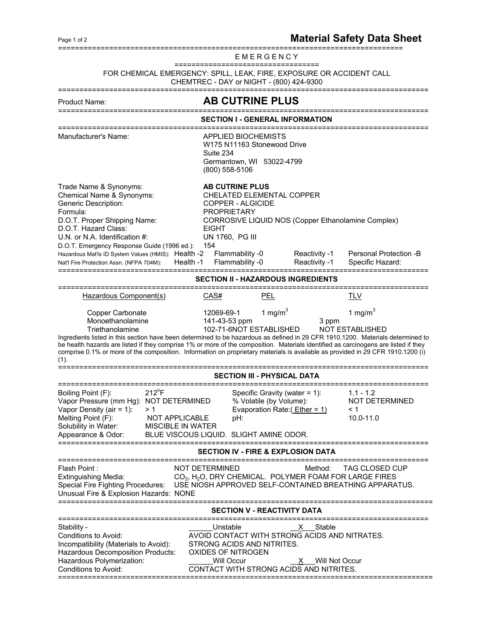## Page 1 of 2

E M E R G E N C Y

==================================

## FOR CHEMICAL EMERGENCY: SPILL, LEAK, FIRE, EXPOSURE OR ACCIDENT CALL

CHEMTREC - DAY or NIGHT - (800) 424-9300

=======================================================================================

## Product Name: **AB CUTRINE PLUS**

======================================================================================= **SECTION I - GENERAL INFORMATION** ======================================================================================= Manufacturer's Name: APPLIED BIOCHEMISTS W175 N11163 Stonewood Drive Suite 234 Germantown, WI 53022-4799 (800) 558-5106 Trade Name & Synonyms:<br>
Chemical Name & Synonyms: CHELATED ELEMEN CHELATED ELEMENTAL COPPER Generic Description: COPPER - ALGICIDE Formula: PROPRIETARY D.O.T. Proper Shipping Name: CORROSIVE LIQUID NOS (Copper Ethanolamine Complex) D.O.T. Hazard Class: EIGHT<br>U.N. or N.A. Identified the " U.N. or N.A. Identification #: UN 1760, PG III D.O.T. Emergency Response Guide (1996 ed.): 154 Hazardous Mat'ls ID System Values (HMIS): Health -2 Flammability -0 Reactivity -1 Personal Protection -B Nat'l Fire Protection Assn. (NFPA 704M): Health -1 Flammability -0 Reactivity -1 Specific Hazard: ======================================================================================= **SECTION II - HAZARDOUS INGREDIENTS**  ======================================================================================= Hazardous Component(s)  $CAS#$  PEL TLV Copper Carbonate  $\sim$  12069-69-1 1 mg/m<sup>3</sup> and  $1 \text{ mg/m}^3$ Monoethanolamine 141-43-53 ppm 3 ppm Triethanolamine 102-71-6 NOT ESTABLISHED NOT ESTABLISHED Ingredients listed in this section have been determined to be hazardous as defined in 29 CFR 1910.1200. Materials determined to be health hazards are listed if they comprise 1% or more of the composition. Materials identified as carcinogens are listed if they comprise 0.1% or more of the composition. Information on proprietary materials is available as provided in 29 CFR 1910.1200 (i) (1). ======================================================================================= **SECTION III - PHYSICAL DATA**  ======================================================================================= Boiling Point  $(F)$ : 212<sup>°</sup>F Specific Gravity (water = 1): 1.1 - 1.2 Vapor Pressure (mm Hg): NOT DETERMINED % Volatile (by Volume): NOT DETERMINED Vapor Density (air = 1): > 1 Evaporation Rate:( Ether = 1) < 1 Melting Point (F): NOT APPLICABLE pH: 10.0-11.0 Solubility in Water: MISCIBLE IN WATER Appearance & Odor: BLUE VISCOUS LIQUID. SLIGHT AMINE ODOR. ======================================================================================= **SECTION IV - FIRE & EXPLOSION DATA**  ======================================================================================= NOT DETERMINED Method: TAG CLOSED CUP  $CO<sub>2</sub>$ , H<sub>2</sub>O, DRY CHEMICAL. POLYMER FOAM FOR LARGE FIRES Special Fire Fighting Procedures: USE NIOSH APPROVED SELF-CONTAINED BREATHING APPARATUS. Unusual Fire & Explosion Hazards: NONE ======================================================================================== **SECTION V - REACTIVITY DATA** ======================================================================================= Stability - \_\_\_\_\_\_\_\_\_\_\_\_\_\_\_\_\_\_\_\_\_\_\_\_\_\_\_\_\_\_\_\_Unstable \_\_\_\_\_\_\_\_\_\_\_\_\_\_\_\_\_\_\_\_\_\_\_\_\_\_\_\_ Conditions to Avoid: AVOID CONTACT WITH STRONG ACIDS AND NITRATES. Incompatibility (Materials to Avoid): STRONG ACIDS AND NITRITES. Hazardous Decomposition Products: OXIDES OF NITROGEN Hazardous Polymerization: \_\_\_\_\_\_\_\_\_\_\_\_Will Occur \_\_\_\_\_\_\_\_\_\_\_\_\_\_\_\_\_\_\_\_\_\_\_\_\_\_\_\_\_\_\_ Will Not Occur Conditions to Avoid: CONTACT WITH STRONG ACIDS AND NITRITES. ========================================================================================